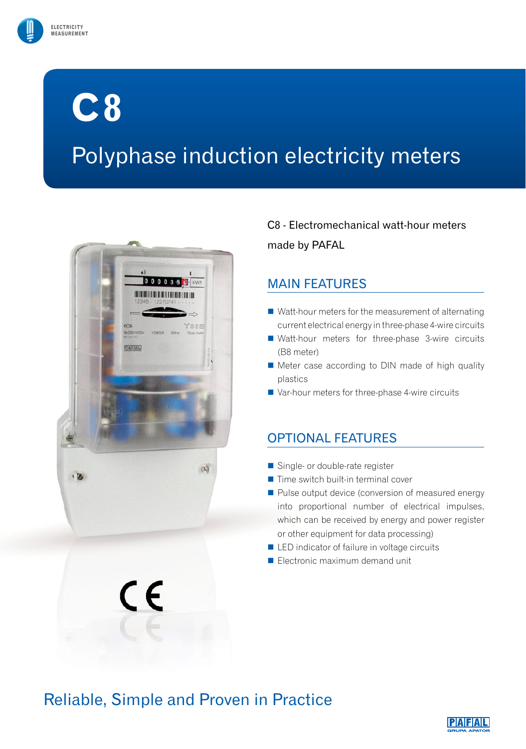

# **C8**

## Polyphase induction electricity meters



 $\epsilon$ 

C8 - Electromechanical watt-hour meters made by PAFAL

### MAIN FEATURES

- Watt-hour meters for the measurement of alternating current electrical energy in three-phase 4-wire circuits
- Watt-hour meters for three-phase 3-wire circuits (B8 meter)
- Meter case according to DIN made of high quality plastics
- Var-hour meters for three-phase 4-wire circuits

## OPTIONAL FEATURES

- Single- or double-rate register
- $\blacksquare$  Time switch built-in terminal cover
- Pulse output device (conversion of measured energy into proportional number of electrical impulses, which can be received by energy and power register or other equipment for data processing)
- LED indicator of failure in voltage circuits
- Electronic maximum demand unit

## Reliable, Simple and Proven in Practice